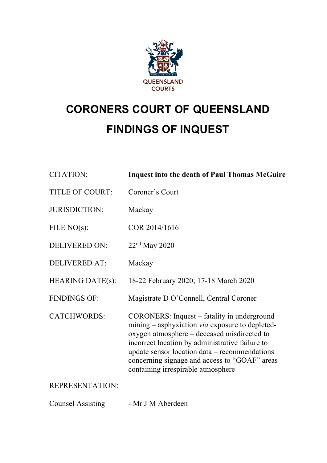

# **CORONERS COURT OF QUEENSLAND FINDINGS OF INQUEST**

| <b>CITATION:</b>        | <b>Inquest into the death of Paul Thomas McGuire</b>                                                                                                                                                                                                                                                                                              |
|-------------------------|---------------------------------------------------------------------------------------------------------------------------------------------------------------------------------------------------------------------------------------------------------------------------------------------------------------------------------------------------|
| <b>TITLE OF COURT:</b>  | Coroner's Court                                                                                                                                                                                                                                                                                                                                   |
| <b>JURISDICTION:</b>    | Mackay                                                                                                                                                                                                                                                                                                                                            |
| FILE $NO(s)$ :          | COR 2014/1616                                                                                                                                                                                                                                                                                                                                     |
| <b>DELIVERED ON:</b>    | $22nd$ May 2020                                                                                                                                                                                                                                                                                                                                   |
| <b>DELIVERED AT:</b>    | Mackay                                                                                                                                                                                                                                                                                                                                            |
| <b>HEARING DATE(s):</b> | 18-22 February 2020; 17-18 March 2020                                                                                                                                                                                                                                                                                                             |
| <b>FINDINGS OF:</b>     | Magistrate D O'Connell, Central Coroner                                                                                                                                                                                                                                                                                                           |
| <b>CATCHWORDS:</b>      | CORONERS: Inquest – fatality in underground<br>mining – asphyxiation <i>via</i> exposure to depleted-<br>oxygen atmosphere - deceased misdirected to<br>incorrect location by administrative failure to<br>update sensor location $data - recommendations$<br>concerning signage and access to "GOAF" areas<br>containing irrespirable atmosphere |
| <b>REPRESENTATION:</b>  |                                                                                                                                                                                                                                                                                                                                                   |
|                         |                                                                                                                                                                                                                                                                                                                                                   |

Counsel Assisting - Mr J M Aberdeen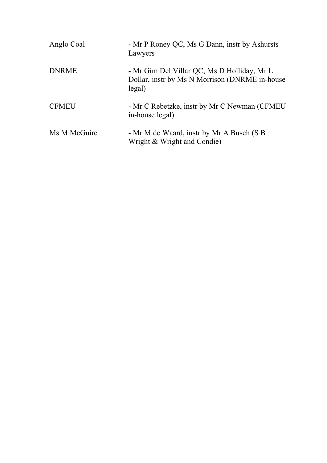| Anglo Coal   | - Mr P Roney QC, Ms G Dann, instr by Ashursts<br>Lawyers                                                |
|--------------|---------------------------------------------------------------------------------------------------------|
| <b>DNRME</b> | - Mr Gim Del Villar QC, Ms D Holliday, Mr L<br>Dollar, instr by Ms N Morrison (DNRME in-house<br>legal) |
| <b>CFMEU</b> | - Mr C Rebetzke, instr by Mr C Newman (CFMEU)<br>in-house legal)                                        |
| Ms M McGuire | - Mr M de Waard, instr by Mr A Busch (S B)<br>Wright & Wright and Condie)                               |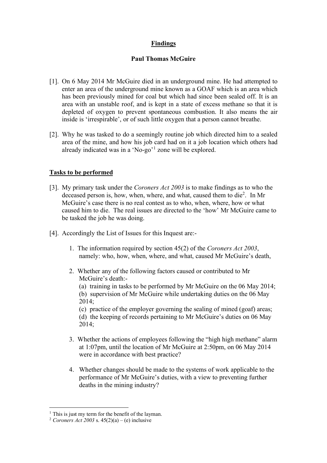# **Findings**

## **Paul Thomas McGuire**

- [1]. On 6 May 2014 Mr McGuire died in an underground mine. He had attempted to enter an area of the underground mine known as a GOAF which is an area which has been previously mined for coal but which had since been sealed off. It is an area with an unstable roof, and is kept in a state of excess methane so that it is depleted of oxygen to prevent spontaneous combustion. It also means the air inside is 'irrespirable', or of such little oxygen that a person cannot breathe.
- [2]. Why he was tasked to do a seemingly routine job which directed him to a sealed area of the mine, and how his job card had on it a job location which others had already indicated was in a 'No-go'[1](#page-2-0) zone will be explored.

# **Tasks to be performed**

- [3]. My primary task under the *Coroners Act 2003* is to make findings as to who the deceased person is, how, when, where, and what, caused them to die<sup>[2](#page-2-1)</sup>. In Mr McGuire's case there is no real contest as to who, when, where, how or what caused him to die. The real issues are directed to the 'how' Mr McGuire came to be tasked the job he was doing.
- [4]. Accordingly the List of Issues for this Inquest are:-
	- 1. The information required by section 45(2) of the *Coroners Act 2003*, namely: who, how, when, where, and what, caused Mr McGuire's death,
	- 2. Whether any of the following factors caused or contributed to Mr McGuire's death:-
		- (a) training in tasks to be performed by Mr McGuire on the 06 May 2014;
		- (b) supervision of Mr McGuire while undertaking duties on the 06 May 2014;
		- (c) practice of the employer governing the sealing of mined (goaf) areas; (d) the keeping of records pertaining to Mr McGuire's duties on 06 May 2014;
	- 3. Whether the actions of employees following the "high high methane" alarm at 1:07pm, until the location of Mr McGuire at 2:50pm, on 06 May 2014 were in accordance with best practice?
	- 4. Whether changes should be made to the systems of work applicable to the performance of Mr McGuire's duties, with a view to preventing further deaths in the mining industry?

<span id="page-2-0"></span><sup>&</sup>lt;sup>1</sup> This is just my term for the benefit of the layman.

<span id="page-2-1"></span><sup>&</sup>lt;sup>2</sup> *Coroners Act 2003* s.  $45(2)(a) - (e)$  inclusive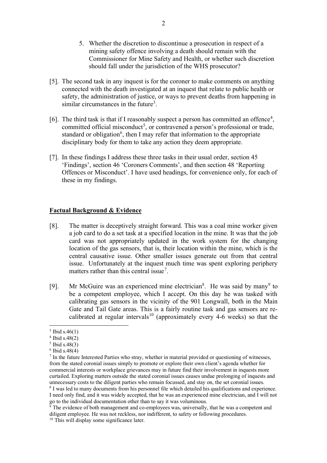- 5. Whether the discretion to discontinue a prosecution in respect of a mining safety offence involving a death should remain with the Commissioner for Mine Safety and Health, or whether such discretion should fall under the jurisdiction of the WHS prosecutor?
- [5]. The second task in any inquest is for the coroner to make comments on anything connected with the death investigated at an inquest that relate to public health or safety, the administration of justice, or ways to prevent deaths from happening in similar circumstances in the future<sup>[3](#page-3-0)</sup>.
- [6]. The third task is that if I reasonably suspect a person has committed an offence<sup>[4](#page-3-1)</sup>, committed official misconduct<sup>[5](#page-3-2)</sup>, or contravened a person's professional or trade, standard or obligation<sup>[6](#page-3-3)</sup>, then I may refer that information to the appropriate disciplinary body for them to take any action they deem appropriate.
- [7]. In these findings I address these three tasks in their usual order, section 45 'Findings', section 46 'Coroners Comments', and then section 48 'Reporting Offences or Misconduct'. I have used headings, for convenience only, for each of these in my findings.

## **Factual Background & Evidence**

- [8]. The matter is deceptively straight forward. This was a coal mine worker given a job card to do a set task at a specified location in the mine. It was that the job card was not appropriately updated in the work system for the changing location of the gas sensors, that is, their location within the mine, which is the central causative issue. Other smaller issues generate out from that central issue. Unfortunately at the inquest much time was spent exploring periphery matters rather than this central issue<sup>[7](#page-3-4)</sup>.
- [9]. Mr McGuire was an experienced mine electrician<sup>[8](#page-3-5)</sup>. He was said by many<sup>[9](#page-3-6)</sup> to be a competent employee, which I accept. On this day he was tasked with calibrating gas sensors in the vicinity of the 901 Longwall, both in the Main Gate and Tail Gate areas. This is a fairly routine task and gas sensors are re-calibrated at regular intervals<sup>[10](#page-3-7)</sup> (approximately every 4-6 weeks) so that the

<span id="page-3-5"></span>go to the individual documentation other than to say it was voluminous.

<span id="page-3-0"></span> $3$  Ibid s.46(1)

<span id="page-3-1"></span><sup>4</sup> Ibid s.48(2)

<span id="page-3-2"></span> $5$  Ibid s.48(3)

<span id="page-3-3"></span> $6$  Ibid s.48(4)

<span id="page-3-4"></span><sup>7</sup> In the future Interested Parties who stray, whether in material provided or questioning of witnesses, from the stated coronial issues simply to promote or explore their own client's agenda whether for commercial interests or workplace grievances may in future find their involvement in inquests more curtailed. Exploring matters outside the stated coronial issues causes undue prolonging of inquests and unnecessary costs to the diligent parties who remain focussed, and stay on, the set coronial issues. <sup>8</sup> I was led to many documents from his personnel file which detailed his qualifications and experience. I need only find, and it was widely accepted, that he was an experienced mine electrician, and I will not

<span id="page-3-7"></span><span id="page-3-6"></span> $\frac{9}{9}$  The evidence of both management and co-employees was, universally, that he was a competent and diligent employee. He was not reckless, nor indifferent, to safety or following procedures. <sup>10</sup> This will display some significance later.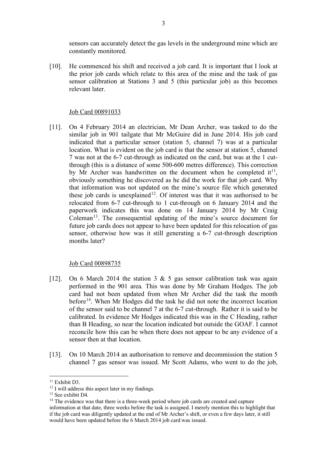sensors can accurately detect the gas levels in the underground mine which are constantly monitored.

[10]. He commenced his shift and received a job card. It is important that I look at the prior job cards which relate to this area of the mine and the task of gas sensor calibration at Stations 3 and 5 (this particular job) as this becomes relevant later.

#### Job Card 00891033

[11]. On 4 February 2014 an electrician, Mr Dean Archer, was tasked to do the similar job in 901 tailgate that Mr McGuire did in June 2014. His job card indicated that a particular sensor (station 5, channel 7) was at a particular location. What is evident on the job card is that the sensor at station 5, channel 7 was not at the 6-7 cut-through as indicated on the card, but was at the 1 cutthrough (this is a distance of some 500-600 metres difference). This correction by Mr Archer was handwritten on the document when he completed  $it<sup>11</sup>$  $it<sup>11</sup>$  $it<sup>11</sup>$ , obviously something he discovered as he did the work for that job card. Why that information was not updated on the mine's source file which generated these job cards is unexplained<sup>12</sup>. Of interest was that it was authorised to be relocated from 6-7 cut-through to 1 cut-through on 6 January 2014 and the paperwork indicates this was done on 14 January 2014 by Mr Craig Coleman<sup>[13](#page-4-2)</sup>. The consequential updating of the mine's source document for future job cards does not appear to have been updated for this relocation of gas sensor, otherwise how was it still generating a 6-7 cut-through description months later?

#### Job Card 00898735

- [12]. On 6 March 2014 the station 3  $\&$  5 gas sensor calibration task was again performed in the 901 area. This was done by Mr Graham Hodges. The job card had not been updated from when Mr Archer did the task the month before<sup>[14](#page-4-3)</sup>. When Mr Hodges did the task he did not note the incorrect location of the sensor said to be channel 7 at the 6-7 cut-through. Rather it is said to be calibrated. In evidence Mr Hodges indicated this was in the C Heading, rather than B Heading, so near the location indicated but outside the GOAF. I cannot reconcile how this can be when there does not appear to be any evidence of a sensor then at that location.
- [13]. On 10 March 2014 an authorisation to remove and decommission the station 5 channel 7 gas sensor was issued. Mr Scott Adams, who went to do the job,

<span id="page-4-0"></span><sup>&</sup>lt;sup>11</sup> Exhibit D3.

<sup>&</sup>lt;sup>12</sup> I will address this aspect later in my findings.

<span id="page-4-2"></span><span id="page-4-1"></span><sup>&</sup>lt;sup>13</sup> See exhibit D4.

<span id="page-4-3"></span> $14$  The evidence was that there is a three-week period where job cards are created and capture information at that date, three weeks before the task is assigned. I merely mention this to highlight that if the job card was diligently updated at the end of Mr Archer's shift, or even a few days later, it still would have been updated before the 6 March 2014 job card was issued.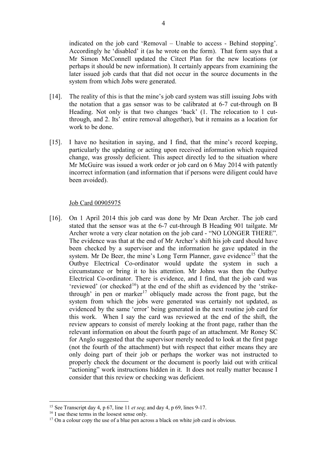indicated on the job card 'Removal – Unable to access - Behind stopping'. Accordingly he 'disabled' it (as he wrote on the form). That form says that a Mr Simon McConnell updated the Citect Plan for the new locations (or perhaps it should be new information). It certainly appears from examining the later issued job cards that that did not occur in the source documents in the system from which Jobs were generated.

- [14]. The reality of this is that the mine's job card system was still issuing Jobs with the notation that a gas sensor was to be calibrated at 6-7 cut-through on B Heading. Not only is that two changes 'back' (1. The relocation to 1 cutthrough, and 2. Its' entire removal altogether), but it remains as a location for work to be done.
- [15]. I have no hesitation in saying, and I find, that the mine's record keeping, particularly the updating or acting upon received information which required change, was grossly deficient. This aspect directly led to the situation where Mr McGuire was issued a work order or job card on 6 May 2014 with patently incorrect information (and information that if persons were diligent could have been avoided).

#### Job Card 00905975

[16]. On 1 April 2014 this job card was done by Mr Dean Archer. The job card stated that the sensor was at the 6-7 cut-through B Heading 901 tailgate. Mr Archer wrote a very clear notation on the job card - "NO LONGER THERE". The evidence was that at the end of Mr Archer's shift his job card should have been checked by a supervisor and the information he gave updated in the system. Mr De Beer, the mine's Long Term Planner, gave evidence<sup>[15](#page-5-0)</sup> that the Outbye Electrical Co-ordinator would update the system in such a circumstance or bring it to his attention. Mr Johns was then the Outbye Electrical Co-ordinator. There is evidence, and I find, that the job card was 'reviewed' (or checked<sup>[16](#page-5-1)</sup>) at the end of the shift as evidenced by the 'strike-through' in pen or marker<sup>[17](#page-5-2)</sup> obliquely made across the front page, but the system from which the jobs were generated was certainly not updated, as evidenced by the same 'error' being generated in the next routine job card for this work. When I say the card was reviewed at the end of the shift, the review appears to consist of merely looking at the front page, rather than the relevant information on about the fourth page of an attachment. Mr Roney SC for Anglo suggested that the supervisor merely needed to look at the first page (not the fourth of the attachment) but with respect that either means they are only doing part of their job or perhaps the worker was not instructed to properly check the document or the document is poorly laid out with critical "actioning" work instructions hidden in it. It does not really matter because I consider that this review or checking was deficient.

<span id="page-5-0"></span><sup>15</sup> See Transcript day 4, p 67, line 11 *et seq*; and day 4, p 69, lines 9-17.

<span id="page-5-1"></span><sup>&</sup>lt;sup>16</sup> I use these terms in the loosest sense only.

<span id="page-5-2"></span><sup>&</sup>lt;sup>17</sup> On a colour copy the use of a blue pen across a black on white job card is obvious.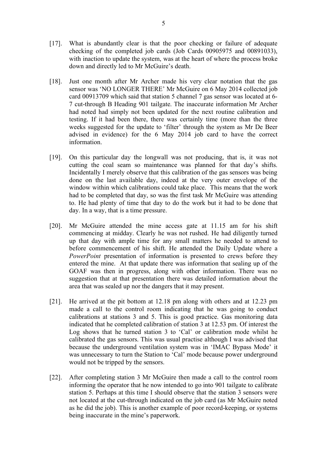- [17]. What is abundantly clear is that the poor checking or failure of adequate checking of the completed job cards (Job Cards 00905975 and 00891033), with inaction to update the system, was at the heart of where the process broke down and directly led to Mr McGuire's death.
- [18]. Just one month after Mr Archer made his very clear notation that the gas sensor was 'NO LONGER THERE' Mr McGuire on 6 May 2014 collected job card 00913709 which said that station 5 channel 7 gas sensor was located at 6- 7 cut-through B Heading 901 tailgate. The inaccurate information Mr Archer had noted had simply not been updated for the next routine calibration and testing. If it had been there, there was certainly time (more than the three weeks suggested for the update to 'filter' through the system as Mr De Beer advised in evidence) for the 6 May 2014 job card to have the correct information.
- [19]. On this particular day the longwall was not producing, that is, it was not cutting the coal seam so maintenance was planned for that day's shifts. Incidentally I merely observe that this calibration of the gas sensors was being done on the last available day, indeed at the very outer envelope of the window within which calibrations could take place. This means that the work had to be completed that day, so was the first task Mr McGuire was attending to. He had plenty of time that day to do the work but it had to be done that day. In a way, that is a time pressure.
- [20]. Mr McGuire attended the mine access gate at 11.15 am for his shift commencing at midday. Clearly he was not rushed. He had diligently turned up that day with ample time for any small matters he needed to attend to before commencement of his shift. He attended the Daily Update where a *PowerPoint* presentation of information is presented to crews before they entered the mine. At that update there was information that sealing up of the GOAF was then in progress, along with other information. There was no suggestion that at that presentation there was detailed information about the area that was sealed up nor the dangers that it may present.
- [21]. He arrived at the pit bottom at 12.18 pm along with others and at 12.23 pm made a call to the control room indicating that he was going to conduct calibrations at stations 3 and 5. This is good practice. Gas monitoring data indicated that he completed calibration of station 3 at 12.53 pm. Of interest the Log shows that he turned station 3 to 'Cal' or calibration mode whilst he calibrated the gas sensors. This was usual practise although I was advised that because the underground ventilation system was in 'IMAC Bypass Mode' it was unnecessary to turn the Station to 'Cal' mode because power underground would not be tripped by the sensors.
- [22]. After completing station 3 Mr McGuire then made a call to the control room informing the operator that he now intended to go into 901 tailgate to calibrate station 5. Perhaps at this time I should observe that the station 3 sensors were not located at the cut-through indicated on the job card (as Mr McGuire noted as he did the job). This is another example of poor record-keeping, or systems being inaccurate in the mine's paperwork.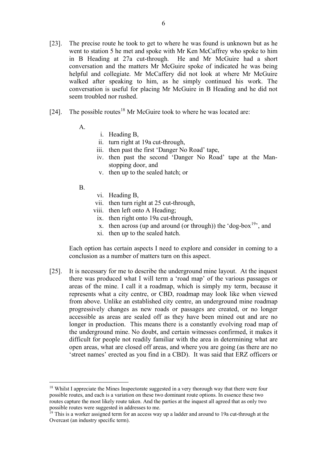- [23]. The precise route he took to get to where he was found is unknown but as he went to station 5 he met and spoke with Mr Ken McCaffrey who spoke to him in B Heading at 27a cut-through. He and Mr McGuire had a short conversation and the matters Mr McGuire spoke of indicated he was being helpful and collegiate. Mr McCaffery did not look at where Mr McGuire walked after speaking to him, as he simply continued his work. The conversation is useful for placing Mr McGuire in B Heading and he did not seem troubled nor rushed.
- [24]. The possible routes<sup>[18](#page-7-0)</sup> Mr McGuire took to where he was located are:
	- A.
- i. Heading B,
- ii. turn right at 19a cut-through,
- iii. then past the first 'Danger No Road' tape,
- iv. then past the second 'Danger No Road' tape at the Manstopping door, and
- v. then up to the sealed hatch; or
- B.
- vi. Heading B,
- vii. then turn right at 25 cut-through,
- viii. then left onto A Heading;
- ix. then right onto 19a cut-through,
- x. then across (up and around (or through)) the 'dog-box<sup>19</sup>', and
- xi. then up to the sealed hatch.

Each option has certain aspects I need to explore and consider in coming to a conclusion as a number of matters turn on this aspect.

[25]. It is necessary for me to describe the underground mine layout. At the inquest there was produced what I will term a 'road map' of the various passages or areas of the mine. I call it a roadmap, which is simply my term, because it represents what a city centre, or CBD, roadmap may look like when viewed from above. Unlike an established city centre, an underground mine roadmap progressively changes as new roads or passages are created, or no longer accessible as areas are sealed off as they have been mined out and are no longer in production. This means there is a constantly evolving road map of the underground mine. No doubt, and certain witnesses confirmed, it makes it difficult for people not readily familiar with the area in determining what are open areas, what are closed off areas, and where you are going (as there are no 'street names' erected as you find in a CBD). It was said that ERZ officers or

<span id="page-7-0"></span><sup>&</sup>lt;sup>18</sup> Whilst I appreciate the Mines Inspectorate suggested in a very thorough way that there were four possible routes, and each is a variation on these two dominant route options. In essence these two routes capture the most likely route taken. And the parties at the inquest all agreed that as only two possible routes were suggested in addresses to me.

<span id="page-7-1"></span><sup>&</sup>lt;sup>19</sup> This is a worker assigned term for an access way up a ladder and around to 19a cut-through at the Overcast (an industry specific term).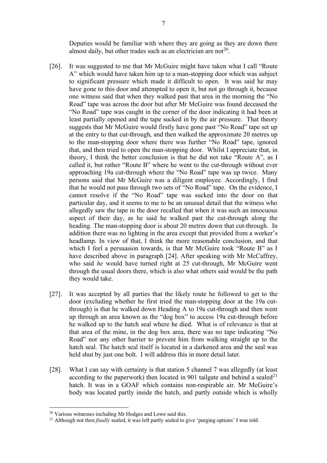Deputies would be familiar with where they are going as they are down there almost daily, but other trades such as an electrician are not<sup>[20](#page-8-0)</sup>.

- [26]. It was suggested to me that Mr McGuire might have taken what I call "Route A" which would have taken him up to a man-stopping door which was subject to significant pressure which made it difficult to open. It was said he may have gone to this door and attempted to open it, but not go through it, because one witness said that when they walked past that area in the morning the "No Road" tape was across the door but after Mr McGuire was found deceased the "No Road" tape was caught in the corner of the door indicating it had been at least partially opened and the tape sucked in by the air pressure. That theory suggests that Mr McGuire would firstly have gone past "No Road" tape set up at the entry to that cut-through, and then walked the approximate 20 metres up to the man-stopping door where there was further "No Road" tape, ignored that, and then tried to open the man-stopping door. Whilst I appreciate that, in theory, I think the better conclusion is that he did not take "Route A", as I called it, but rather "Route B" where he went to the cut-through without ever approaching 19a cut-through where the "No Road" tape was up twice. Many persons said that Mr McGuire was a diligent employee. Accordingly, I find that he would not pass through two sets of "No Road" tape. On the evidence, I cannot resolve if the "No Road" tape was sucked into the door on that particular day, and it seems to me to be an unusual detail that the witness who allegedly saw the tape in the door recalled that when it was such an innocuous aspect of their day, as he said he walked past the cut-through along the heading. The man-stopping door is about 20 metres down that cut-through. In addition there was no lighting in the area except that provided from a worker's headlamp. In view of that, I think the more reasonable conclusion, and that which I feel a persuasion towards, is that Mr McGuire took "Route B" as I have described above in paragraph [24]. After speaking with Mr McCaffrey, who said *he* would have turned right at 25 cut-through, Mr McGuire went through the usual doors there, which is also what others said would be the path they would take.
- [27]. It was accepted by all parties that the likely route he followed to get to the door (excluding whether he first tried the man-stopping door at the 19a cutthrough) is that he walked down Heading A to 19a cut-through and then went up through an area known as the "dog box" to access 19a cut-through before he walked up to the hatch seal where he died. What is of relevance is that at that area of the mine, in the dog box area, there was no tape indicating "No Road" nor any other barrier to prevent him from walking straight up to the hatch seal. The hatch seal itself is located in a darkened area and the seal was held shut by just one bolt. I will address this in more detail later.
- [28]. What I can say with certainty is that station 5 channel 7 was allegedly (at least according to the paperwork) then located in 901 tailgate and behind a sealed<sup>[21](#page-8-1)</sup> hatch. It was in a GOAF which contains non-respirable air. Mr McGuire's body was located partly inside the hatch, and partly outside which is wholly

<span id="page-8-0"></span><sup>20</sup> Various witnesses including Mr Hodges and Lowe said this.

<span id="page-8-1"></span><sup>&</sup>lt;sup>21</sup> Although not then *finally* sealed, it was left partly sealed to give 'purging options' I was told.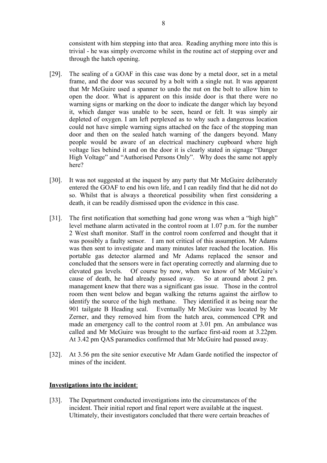consistent with him stepping into that area. Reading anything more into this is trivial - he was simply overcome whilst in the routine act of stepping over and through the hatch opening.

- [29]. The sealing of a GOAF in this case was done by a metal door, set in a metal frame, and the door was secured by a bolt with a single nut. It was apparent that Mr McGuire used a spanner to undo the nut on the bolt to allow him to open the door. What is apparent on this inside door is that there were no warning signs or marking on the door to indicate the danger which lay beyond it, which danger was unable to be seen, heard or felt. It was simply air depleted of oxygen. I am left perplexed as to why such a dangerous location could not have simple warning signs attached on the face of the stopping man door and then on the sealed hatch warning of the dangers beyond. Many people would be aware of an electrical machinery cupboard where high voltage lies behind it and on the door it is clearly stated in signage "Danger High Voltage" and "Authorised Persons Only". Why does the same not apply here?
- [30]. It was not suggested at the inquest by any party that Mr McGuire deliberately entered the GOAF to end his own life, and I can readily find that he did not do so. Whilst that is always a theoretical possibility when first considering a death, it can be readily dismissed upon the evidence in this case.
- [31]. The first notification that something had gone wrong was when a "high high" level methane alarm activated in the control room at 1.07 p.m. for the number 2 West shaft monitor. Staff in the control room conferred and thought that it was possibly a faulty sensor. I am not critical of this assumption. Mr Adams was then sent to investigate and many minutes later reached the location. His portable gas detector alarmed and Mr Adams replaced the sensor and concluded that the sensors were in fact operating correctly and alarming due to elevated gas levels. Of course by now, when we know of Mr McGuire's cause of death, he had already passed away. So at around about 2 pm. management knew that there was a significant gas issue. Those in the control room then went below and began walking the returns against the airflow to identify the source of the high methane. They identified it as being near the 901 tailgate B Heading seal. Eventually Mr McGuire was located by Mr Zerner, and they removed him from the hatch area, commenced CPR and made an emergency call to the control room at 3.01 pm. An ambulance was called and Mr McGuire was brought to the surface first-aid room at 3.22pm. At 3.42 pm QAS paramedics confirmed that Mr McGuire had passed away.
- [32]. At 3.56 pm the site senior executive Mr Adam Garde notified the inspector of mines of the incident.

## **Investigations into the incident**:

[33]. The Department conducted investigations into the circumstances of the incident. Their initial report and final report were available at the inquest. Ultimately, their investigators concluded that there were certain breaches of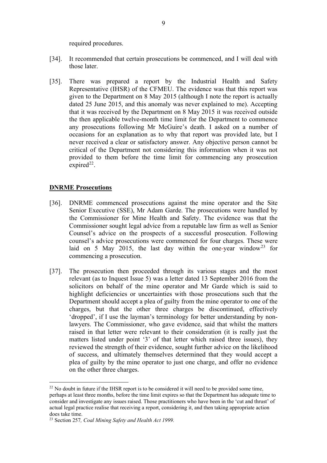required procedures.

- [34]. It recommended that certain prosecutions be commenced, and I will deal with those later.
- [35]. There was prepared a report by the Industrial Health and Safety Representative (IHSR) of the CFMEU. The evidence was that this report was given to the Department on 8 May 2015 (although I note the report is actually dated 25 June 2015, and this anomaly was never explained to me). Accepting that it was received by the Department on 8 May 2015 it was received outside the then applicable twelve-month time limit for the Department to commence any prosecutions following Mr McGuire's death. I asked on a number of occasions for an explanation as to why that report was provided late, but I never received a clear or satisfactory answer. Any objective person cannot be critical of the Department not considering this information when it was not provided to them before the time limit for commencing any prosecution expired<sup>22</sup>.

## **DNRME Prosecutions**

- [36]. DNRME commenced prosecutions against the mine operator and the Site Senior Executive (SSE), Mr Adam Garde. The prosecutions were handled by the Commissioner for Mine Health and Safety. The evidence was that the Commissioner sought legal advice from a reputable law firm as well as Senior Counsel's advice on the prospects of a successful prosecution. Following counsel's advice prosecutions were commenced for four charges. These were laid on 5 May 2015, the last day within the one-year window<sup>[23](#page-10-1)</sup> for commencing a prosecution.
- [37]. The prosecution then proceeded through its various stages and the most relevant (as to Inquest Issue 5) was a letter dated 13 September 2016 from the solicitors on behalf of the mine operator and Mr Garde which is said to highlight deficiencies or uncertainties with those prosecutions such that the Department should accept a plea of guilty from the mine operator to one of the charges, but that the other three charges be discontinued, effectively 'dropped', if I use the layman's terminology for better understanding by nonlawyers. The Commissioner, who gave evidence, said that whilst the matters raised in that letter were relevant to their consideration (it is really just the matters listed under point '3' of that letter which raised three issues), they reviewed the strength of their evidence, sought further advice on the likelihood of success, and ultimately themselves determined that they would accept a plea of guilty by the mine operator to just one charge, and offer no evidence on the other three charges.

<span id="page-10-0"></span> $22$  No doubt in future if the IHSR report is to be considered it will need to be provided some time, perhaps at least three months, before the time limit expires so that the Department has adequate time to consider and investigate any issues raised. Those practitioners who have been in the 'cut and thrust' of actual legal practice realise that receiving a report, considering it, and then taking appropriate action does take time.

<span id="page-10-1"></span><sup>23</sup> Section 257*, Coal Mining Safety and Health Act 1999.*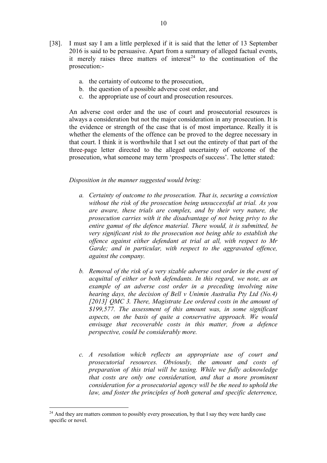a. the certainty of outcome to the prosecution,

prosecution:-

- b. the question of a possible adverse cost order, and
- c. the appropriate use of court and prosecution resources.

An adverse cost order and the use of court and prosecutorial resources is always a consideration but not the major consideration in any prosecution. It is the evidence or strength of the case that is of most importance. Really it is whether the elements of the offence can be proved to the degree necessary in that court. I think it is worthwhile that I set out the entirety of that part of the three-page letter directed to the alleged uncertainty of outcome of the prosecution, what someone may term 'prospects of success'. The letter stated:

#### *Disposition in the manner suggested would bring:*

- *a. Certainty of outcome to the prosecution. That is, securing a conviction without the risk of the prosecution being unsuccessful at trial. As you are aware, these trials are complex, and by their very nature, the prosecution carries with it the disadvantage of not being privy to the entire gamut of the defence material. There would, it is submitted, be very significant risk to the prosecution not being able to establish the offence against either defendant at trial at all, with respect to Mr Garde; and in particular, with respect to the aggravated offence, against the company.*
- *b. Removal of the risk of a very sizable adverse cost order in the event of acquittal of either or both defendants. In this regard, we note, as an example of an adverse cost order in a preceding involving nine hearing days, the decision of Bell v Unimin Australia Pty Ltd (No.4) [2013] QMC 3. There, Magistrate Lee ordered costs in the amount of \$199,577. The assessment of this amount was, in some significant aspects, on the basis of quite a conservative approach. We would envisage that recoverable costs in this matter, from a defence perspective, could be considerably more.*
- *c. A resolution which reflects an appropriate use of court and prosecutorial resources. Obviously, the amount and costs of preparation of this trial will be taxing. While we fully acknowledge that costs are only one consideration, and that a more prominent consideration for a prosecutorial agency will be the need to uphold the law, and foster the principles of both general and specific deterrence,*

<span id="page-11-0"></span><sup>&</sup>lt;sup>24</sup> And they are matters common to possibly every prosecution, by that I say they were hardly case specific or novel.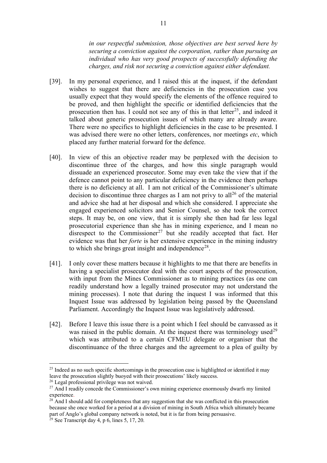*in our respectful submission, those objectives are best served here by securing a conviction against the corporation, rather than pursuing an individual who has very good prospects of successfully defending the charges, and risk not securing a conviction against either defendant.*

- [39]. In my personal experience, and I raised this at the inquest, if the defendant wishes to suggest that there are deficiencies in the prosecution case you usually expect that they would specify the elements of the offence required to be proved, and then highlight the specific or identified deficiencies that the prosecution then has. I could not see any of this in that letter<sup>25</sup>, and indeed it talked about generic prosecution issues of which many are already aware. There were no specifics to highlight deficiencies in the case to be presented. I was advised there were no other letters, conferences, nor meetings *etc*, which placed any further material forward for the defence.
- [40]. In view of this an objective reader may be perplexed with the decision to discontinue three of the charges, and how this single paragraph would dissuade an experienced prosecutor. Some may even take the view that if the defence cannot point to any particular deficiency in the evidence then perhaps there is no deficiency at all. I am not critical of the Commissioner's ultimate decision to discontinue three charges as I am not privy to all<sup>[26](#page-12-1)</sup> of the material and advice she had at her disposal and which she considered. I appreciate she engaged experienced solicitors and Senior Counsel, so she took the correct steps. It may be, on one view, that it is simply she then had far less legal prosecutorial experience than she has in mining experience, and I mean no disrespect to the Commissioner<sup>[27](#page-12-2)</sup> but she readily accepted that fact. Her evidence was that her *forte* is her extensive experience in the mining industry to which she brings great insight and independence<sup>[28](#page-12-3)</sup>.
- [41]. I only cover these matters because it highlights to me that there are benefits in having a specialist prosecutor deal with the court aspects of the prosecution, with input from the Mines Commissioner as to mining practices (as one can readily understand how a legally trained prosecutor may not understand the mining processes). I note that during the inquest I was informed that this Inquest Issue was addressed by legislation being passed by the Queensland Parliament. Accordingly the Inquest Issue was legislatively addressed.
- [42]. Before I leave this issue there is a point which I feel should be canvassed as it was raised in the public domain. At the inquest there was terminology used<sup>[29](#page-12-4)</sup> which was attributed to a certain CFMEU delegate or organiser that the discontinuance of the three charges and the agreement to a plea of guilty by

<span id="page-12-0"></span><sup>&</sup>lt;sup>25</sup> Indeed as no such specific shortcomings in the prosecution case is highlighted or identified it may leave the prosecution slightly buoyed with their prosecutions' likely success.

<span id="page-12-1"></span><sup>26</sup> Legal professional privilege was not waived.

<span id="page-12-2"></span> $27$  And I readily concede the Commissioner's own mining experience enormously dwarfs my limited experience.

<span id="page-12-3"></span> $28$  And I should add for completeness that any suggestion that she was conflicted in this prosecution because she once worked for a period at a division of mining in South Africa which ultimately became part of Anglo's global company network is noted, but it is far from being persuasive.

<span id="page-12-4"></span> $29$  See Transcript day 4, p 6, lines 5, 17, 20.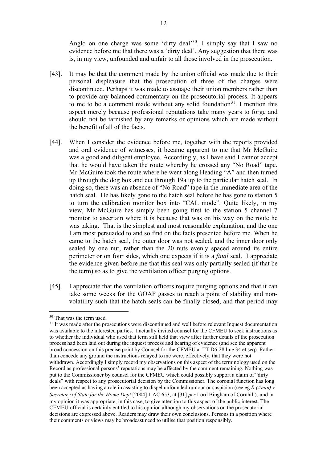Anglo on one charge was some 'dirty deal'<sup>30</sup>. I simply say that I saw no evidence before me that there was a 'dirty deal'. Any suggestion that there was is, in my view, unfounded and unfair to all those involved in the prosecution.

- [43]. It may be that the comment made by the union official was made due to their personal displeasure that the prosecution of three of the charges were discontinued. Perhaps it was made to assuage their union members rather than to provide any balanced commentary on the prosecutorial process. It appears to me to be a comment made without any solid foundation<sup>31</sup>. I mention this aspect merely because professional reputations take many years to forge and should not be tarnished by any remarks or opinions which are made without the benefit of all of the facts.
- [44]. When I consider the evidence before me, together with the reports provided and oral evidence of witnesses, it became apparent to me that Mr McGuire was a good and diligent employee. Accordingly, as I have said I cannot accept that he would have taken the route whereby he crossed any "No Road" tape. Mr McGuire took the route where he went along Heading "A" and then turned up through the dog box and cut through 19a up to the particular hatch seal. In doing so, there was an absence of "No Road" tape in the immediate area of the hatch seal. He has likely gone to the hatch seal before he has gone to station 5 to turn the calibration monitor box into "CAL mode". Quite likely, in my view, Mr McGuire has simply been going first to the station 5 channel 7 monitor to ascertain where it is because that was on his way on the route he was taking. That is the simplest and most reasonable explanation, and the one I am most persuaded to and so find on the facts presented before me. When he came to the hatch seal, the outer door was not sealed, and the inner door only sealed by one nut, rather than the 20 nuts evenly spaced around its entire perimeter or on four sides, which one expects if it is a *final* seal. I appreciate the evidence given before me that this seal was only partially sealed (if that be the term) so as to give the ventilation officer purging options.
- [45]. I appreciate that the ventilation officers require purging options and that it can take some weeks for the GOAF gasses to reach a point of stability and nonvolatility such that the hatch seals can be finally closed, and that period may

<span id="page-13-0"></span><sup>30</sup> That was the term used.

<span id="page-13-1"></span><sup>&</sup>lt;sup>31</sup> It was made after the prosecutions were discontinued and well before relevant Inquest documentation was available to the interested parties. I actually invited counsel for the CFMEU to seek instructions as to whether the individual who used that term still held that view after further details of the prosecution process had been laid out during the inquest process and hearing of evidence (and see the apparent broad concession on this precise point by Counsel for the CFMEU at TT D6-28 line 34 et seq). Rather than concede any ground the instructions relayed to me were, effectively, that they were not withdrawn. Accordingly I simply record my observations on this aspect of the terminology used on the Record as professional persons' reputations may be affected by the comment remaining. Nothing was put to the Commissioner by counsel for the CFMEU which could possibly support a claim of "dirty deals" with respect to any prosecutorial decision by the Commissioner. The coronial function has long been accepted as having a role in assisting to dispel unfounded rumour or suspicion (see eg *R (Amin) v Secretary of State for the Home Dept* [2004] 1 AC 653, at [31] *per* Lord Bingham of Cornhill), and in my opinion it was appropriate, in this case, to give attention to this aspect of the public interest. The CFMEU official is certainly entitled to his opinion although my observations on the prosecutorial decisions are expressed above. Readers may draw their own conclusions. Persons in a position where their comments or views may be broadcast need to utilise that position responsibly.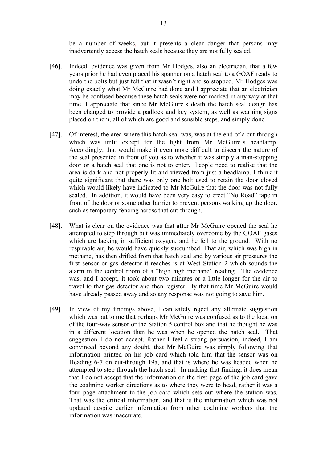be a number of weeks, but it presents a clear danger that persons may inadvertently access the hatch seals because they are not fully sealed.

- [46]. Indeed, evidence was given from Mr Hodges, also an electrician, that a few years prior he had even placed his spanner on a hatch seal to a GOAF ready to undo the bolts but just felt that it wasn't right and so stopped. Mr Hodges was doing exactly what Mr McGuire had done and I appreciate that an electrician may be confused because these hatch seals were not marked in any way at that time. I appreciate that since Mr McGuire's death the hatch seal design has been changed to provide a padlock and key system, as well as warning signs placed on them, all of which are good and sensible steps, and simply done.
- [47]. Of interest, the area where this hatch seal was, was at the end of a cut-through which was unlit except for the light from Mr McGuire's headlamp. Accordingly, that would make it even more difficult to discern the nature of the seal presented in front of you as to whether it was simply a man-stopping door or a hatch seal that one is not to enter. People need to realise that the area is dark and not properly lit and viewed from just a headlamp. I think it quite significant that there was only one bolt used to retain the door closed which would likely have indicated to Mr McGuire that the door was not fully sealed. In addition, it would have been very easy to erect "No Road" tape in front of the door or some other barrier to prevent persons walking up the door, such as temporary fencing across that cut-through.
- [48]. What is clear on the evidence was that after Mr McGuire opened the seal he attempted to step through but was immediately overcome by the GOAF gases which are lacking in sufficient oxygen, and he fell to the ground. With no respirable air, he would have quickly succumbed. That air, which was high in methane, has then drifted from that hatch seal and by various air pressures the first sensor or gas detector it reaches is at West Station 2 which sounds the alarm in the control room of a "high high methane" reading. The evidence was, and I accept, it took about two minutes or a little longer for the air to travel to that gas detector and then register. By that time Mr McGuire would have already passed away and so any response was not going to save him.
- [49]. In view of my findings above, I can safely reject any alternate suggestion which was put to me that perhaps Mr McGuire was confused as to the location of the four-way sensor or the Station 5 control box and that he thought he was in a different location than he was when he opened the hatch seal. That suggestion I do not accept. Rather I feel a strong persuasion, indeed, I am convinced beyond any doubt, that Mr McGuire was simply following that information printed on his job card which told him that the sensor was on Heading 6-7 on cut-through 19a, and that is where he was headed when he attempted to step through the hatch seal. In making that finding, it does mean that I do not accept that the information on the first page of the job card gave the coalmine worker directions as to where they were to head, rather it was a four page attachment to the job card which sets out where the station was. That was the critical information, and that is the information which was not updated despite earlier information from other coalmine workers that the information was inaccurate.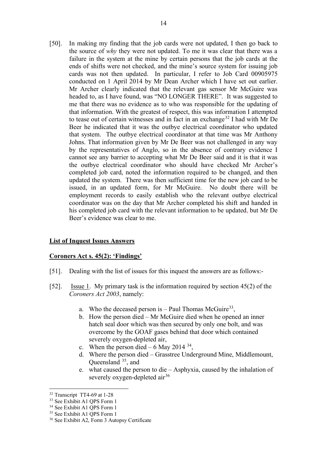[50]. In making my finding that the job cards were not updated, I then go back to the source of *why* they were not updated. To me it was clear that there was a failure in the system at the mine by certain persons that the job cards at the ends of shifts were not checked, and the mine's source system for issuing job cards was not then updated. In particular, I refer to Job Card 00905975 conducted on 1 April 2014 by Mr Dean Archer which I have set out earlier. Mr Archer clearly indicated that the relevant gas sensor Mr McGuire was headed to, as I have found, was "NO LONGER THERE". It was suggested to me that there was no evidence as to who was responsible for the updating of that information. With the greatest of respect, this was information I attempted to tease out of certain witnesses and in fact in an exchange<sup>[32](#page-15-0)</sup> I had with Mr De Beer he indicated that it was the outbye electrical coordinator who updated that system. The outbye electrical coordinator at that time was Mr Anthony Johns. That information given by Mr De Beer was not challenged in any way by the representatives of Anglo, so in the absence of contrary evidence I cannot see any barrier to accepting what Mr De Beer said and it is that it was the outbye electrical coordinator who should have checked Mr Archer's completed job card, noted the information required to be changed, and then updated the system. There was then sufficient time for the new job card to be issued, in an updated form, for Mr McGuire. No doubt there will be employment records to easily establish who the relevant outbye electrical coordinator was on the day that Mr Archer completed his shift and handed in his completed job card with the relevant information to be updated, but Mr De Beer's evidence was clear to me.

# **List of Inquest Issues Answers**

## **Coroners Act s. 45(2): 'Findings'**

- [51]. Dealing with the list of issues for this inquest the answers are as follows:-
- [52]. Issue 1. My primary task is the information required by section 45(2) of the *Coroners Act 2003*, namely:
	- a. Who the deceased person is  $-$  Paul Thomas McGuire<sup>[33](#page-15-1)</sup>,
	- b. How the person died Mr McGuire died when he opened an inner hatch seal door which was then secured by only one bolt, and was overcome by the GOAF gases behind that door which contained severely oxygen-depleted air,
	- c. When the person died 6 May 2014  $34$ ,
	- d. Where the person died Grasstree Underground Mine, Middlemount, Queensland <sup>[35](#page-15-3)</sup>, and
	- e. what caused the person to die Asphyxia, caused by the inhalation of severely oxygen-depleted air<sup>[36](#page-15-4)</sup>

<span id="page-15-0"></span><sup>&</sup>lt;sup>32</sup> Transcript TT4-69 at 1-28

<span id="page-15-1"></span><sup>&</sup>lt;sup>33</sup> See Exhibit A1 OPS Form 1

<span id="page-15-2"></span><sup>34</sup> See Exhibit A1 QPS Form 1

<sup>35</sup> See Exhibit A1 QPS Form 1

<span id="page-15-4"></span><span id="page-15-3"></span><sup>36</sup> See Exhibit A2, Form 3 Autopsy Certificate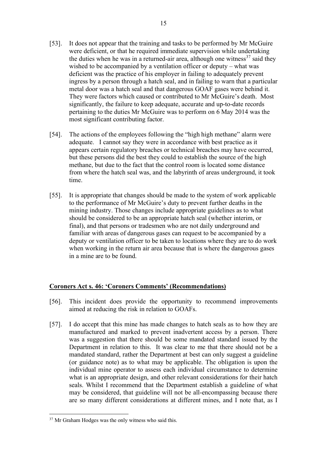- [53]. It does not appear that the training and tasks to be performed by Mr McGuire were deficient, or that he required immediate supervision while undertaking the duties when he was in a returned-air area, although one witness<sup>[37](#page-16-0)</sup> said they wished to be accompanied by a ventilation officer or deputy – what was deficient was the practice of his employer in failing to adequately prevent ingress by a person through a hatch seal, and in failing to warn that a particular metal door was a hatch seal and that dangerous GOAF gases were behind it. They were factors which caused or contributed to Mr McGuire's death. Most significantly, the failure to keep adequate, accurate and up-to-date records pertaining to the duties Mr McGuire was to perform on 6 May 2014 was the most significant contributing factor.
- [54]. The actions of the employees following the "high high methane" alarm were adequate. I cannot say they were in accordance with best practice as it appears certain regulatory breaches or technical breaches may have occurred, but these persons did the best they could to establish the source of the high methane, but due to the fact that the control room is located some distance from where the hatch seal was, and the labyrinth of areas underground, it took time.
- [55]. It is appropriate that changes should be made to the system of work applicable to the performance of Mr McGuire's duty to prevent further deaths in the mining industry. Those changes include appropriate guidelines as to what should be considered to be an appropriate hatch seal (whether interim, or final), and that persons or tradesmen who are not daily underground and familiar with areas of dangerous gases can request to be accompanied by a deputy or ventilation officer to be taken to locations where they are to do work when working in the return air area because that is where the dangerous gases in a mine are to be found.

# **Coroners Act s. 46: 'Coroners Comments' (Recommendations)**

- [56]. This incident does provide the opportunity to recommend improvements aimed at reducing the risk in relation to GOAFs.
- [57]. I do accept that this mine has made changes to hatch seals as to how they are manufactured and marked to prevent inadvertent access by a person. There was a suggestion that there should be some mandated standard issued by the Department in relation to this. It was clear to me that there should not be a mandated standard, rather the Department at best can only suggest a guideline (or guidance note) as to what may be applicable. The obligation is upon the individual mine operator to assess each individual circumstance to determine what is an appropriate design, and other relevant considerations for their hatch seals. Whilst I recommend that the Department establish a guideline of what may be considered, that guideline will not be all-encompassing because there are so many different considerations at different mines, and I note that, as I

<span id="page-16-0"></span><sup>&</sup>lt;sup>37</sup> Mr Graham Hodges was the only witness who said this.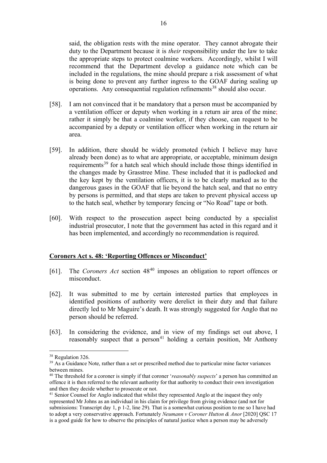said, the obligation rests with the mine operator. They cannot abrogate their duty to the Department because it is *their* responsibility under the law to take the appropriate steps to protect coalmine workers. Accordingly, whilst I will recommend that the Department develop a guidance note which can be included in the regulations, the mine should prepare a risk assessment of what is being done to prevent any further ingress to the GOAF during sealing up operations. Any consequential regulation refinements<sup>[38](#page-17-0)</sup> should also occur.

- [58]. I am not convinced that it be mandatory that a person must be accompanied by a ventilation officer or deputy when working in a return air area of the mine; rather it simply be that a coalmine worker, if they choose, can request to be accompanied by a deputy or ventilation officer when working in the return air area.
- [59]. In addition, there should be widely promoted (which I believe may have already been done) as to what are appropriate, or acceptable, minimum design requirements<sup>[39](#page-17-1)</sup> for a hatch seal which should include those things identified in the changes made by Grasstree Mine. These included that it is padlocked and the key kept by the ventilation officers, it is to be clearly marked as to the dangerous gases in the GOAF that lie beyond the hatch seal, and that no entry by persons is permitted, and that steps are taken to prevent physical access up to the hatch seal, whether by temporary fencing or "No Road" tape or both.
- [60]. With respect to the prosecution aspect being conducted by a specialist industrial prosecutor, I note that the government has acted in this regard and it has been implemented, and accordingly no recommendation is required.

#### **Coroners Act s. 48: 'Reporting Offences or Misconduct'**

- [61]. The *Coroners Act* section 48[40](#page-17-2) imposes an obligation to report offences or misconduct.
- [62]. It was submitted to me by certain interested parties that employees in identified positions of authority were derelict in their duty and that failure directly led to Mr Maguire's death. It was strongly suggested for Anglo that no person should be referred.
- [63]. In considering the evidence, and in view of my findings set out above, I reasonably suspect that a person<sup>[41](#page-17-3)</sup> holding a certain position, Mr Anthony

<span id="page-17-0"></span><sup>&</sup>lt;sup>38</sup> Regulation 326.

<span id="page-17-1"></span><sup>&</sup>lt;sup>39</sup> As a Guidance Note, rather than a set or prescribed method due to particular mine factor variances between mines.

<span id="page-17-2"></span><sup>40</sup> The threshold for a coroner is simply if that coroner '*reasonably suspects*' a person has committed an offence it is then referred to the relevant authority for that authority to conduct their own investigation and then they decide whether to prosecute or not.

<span id="page-17-3"></span><sup>&</sup>lt;sup>41</sup> Senior Counsel for Anglo indicated that whilst they represented Anglo at the inquest they only represented Mr Johns as an individual in his claim for privilege from giving evidence (and not for submissions: Transcript day 1, p 1-2, line 29). That is a somewhat curious position to me so I have had to adopt a very conservative approach. Fortunately *Neumann v Coroner Hutton & Anor* [2020] QSC 17 is a good guide for how to observe the principles of natural justice when a person may be adversely